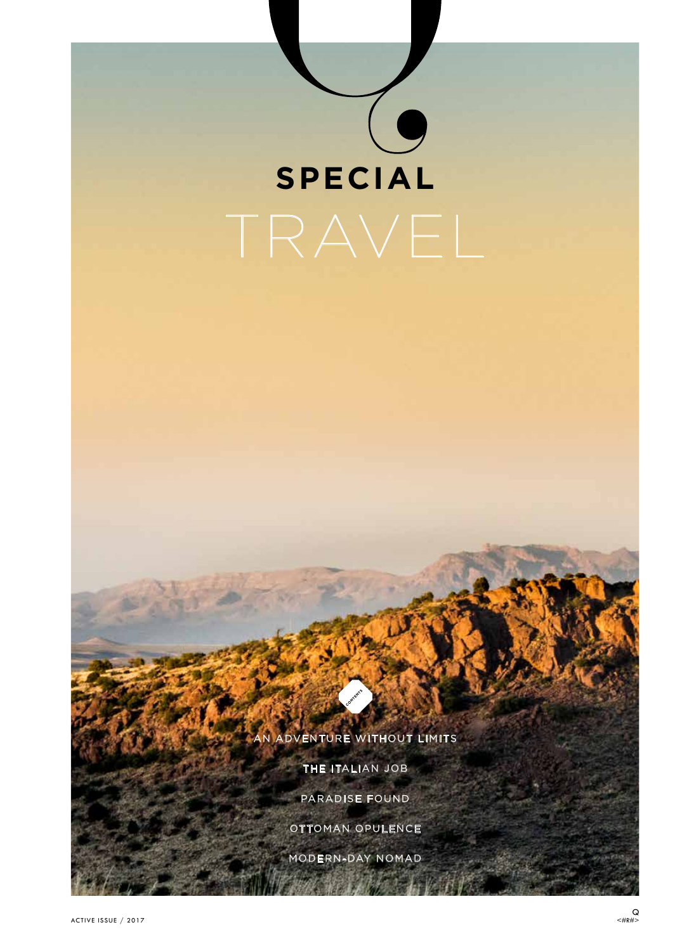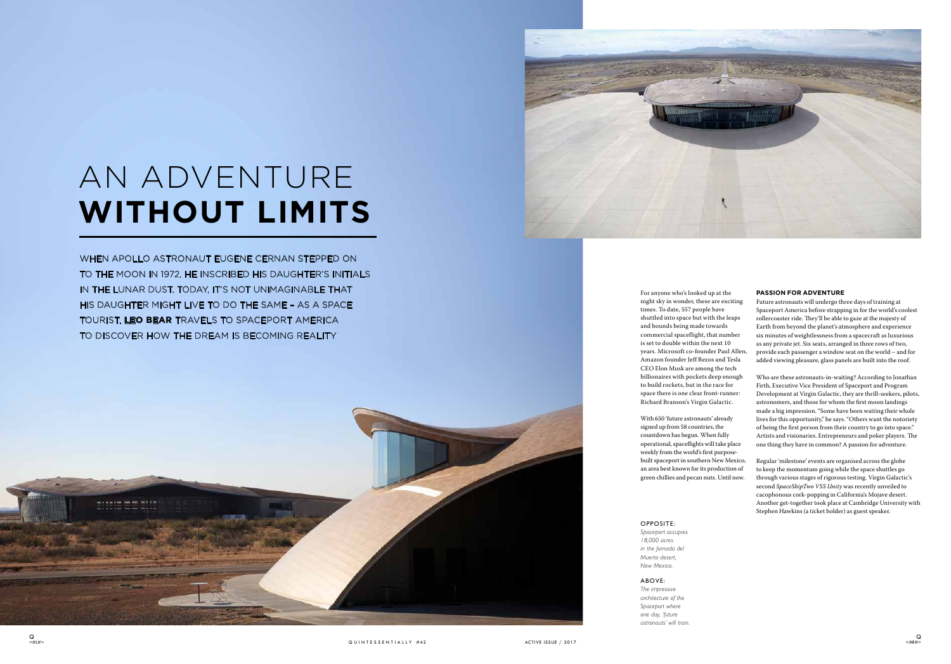

# AN ADVENTURE **WITHOUT LIMITS**

WHEN APOLLO ASTRONAUT EUGENE CERNAN STEPPED ON TO THE MOON IN 1972, HE INSCRIBED HIS DAUGHTER'S INITIALS IN THE LUNAR DUST. TODAY, IT'S NOT UNIMAGINABLE THAT HIS DAUGHTER MIGHT LIVE TO DO THE SAME – AS A SPACE TOURIST. **LEO BEAR** TRAVELS TO SPACEPORT AMERICA TO DISCOVER HOW THE DREAM IS BECOMING REALITY



For anyone who's looked up at the night sky in wonder, these are exciting times. To date, 557 people have shuttled into space but with the leaps and bounds being made towards commercial spaceflight, that number is set to double within the next 10 years. Microsoft co-founder Paul Allen, Amazon founder Jeff Bezos and Tesla CEO Elon Musk are among the tech billionaires with pockets deep enough to build rockets, but in the race for space there is one clear front-runner: Richard Branson's Virgin Galactic.

With 650 'future astronauts' already signed up from 58 countries, the countdown has begun. When fully operational, spaceflights will take place weekly from the world's first purposebuilt spaceport in southern New Mexico, an area best known for its production of green chillies and pecan nuts. Until now.

#### **PASSION FOR ADVENTURE**

Future astronauts will undergo three days of training at Spaceport America before strapping in for the world's coolest rollercoaster ride. They'll be able to gaze at the majesty of Earth from beyond the planet's atmosphere and experience six minutes of weightlessness from a spacecraft as luxurious as any private jet. Six seats, arranged in three rows of two, provide each passenger a window seat on the world – and for added viewing pleasure, glass panels are built into the roof.

Who are these astronauts-in-waiting? According to Jonathan Firth, Executive Vice President of Spaceport and Program Development at Virgin Galactic, they are thrill-seekers, pilots, astronomers, and those for whom the first moon landings made a big impression. "Some have been waiting their whole lives for this opportunity," he says. "Others want the notoriety of being the first person from their country to go into space." Artists and visionaries. Entrepreneurs and poker players. The one thing they have in common? A passion for adventure.

Regular 'milestone' events are organised across the globe to keep the momentum going while the space shuttles go through various stages of rigorous testing. Virgin Galactic's second *SpaceShipTwo VSS Unity* was recently unveiled to cacophonous cork-popping in California's Mojave desert. Another get-together took place at Cambridge University with Stephen Hawkins (a ticket holder) as guest speaker.

#### OPPOSITE:

*Spaceport occupies 18,000 acres in the Jornada del Muerto desert, New Mexico.*

### ABOVE:

*The impressive architecture of the Spaceport where one day, 'future astronauts' will train.*